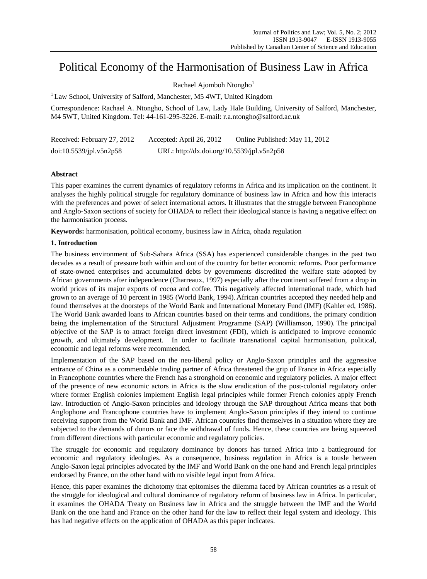# Political Economy of the Harmonisation of Business Law in Africa

Rachael Ajomboh Ntongho<sup>1</sup>

<sup>1</sup> Law School, University of Salford, Manchester, M5 4WT, United Kingdom

Correspondence: Rachael A. Ntongho, School of Law, Lady Hale Building, University of Salford, Manchester, M4 5WT, United Kingdom. Tel: 44-161-295-3226. E-mail: r.a.ntongho@salford.ac.uk

| Received: February 27, 2012 | Accepted: April 26, 2012                   | Online Published: May 11, 2012 |
|-----------------------------|--------------------------------------------|--------------------------------|
| doi:10.5539/jpl.v5n2p58     | URL: http://dx.doi.org/10.5539/jpl.v5n2p58 |                                |

# **Abstract**

This paper examines the current dynamics of regulatory reforms in Africa and its implication on the continent. It analyses the highly political struggle for regulatory dominance of business law in Africa and how this interacts with the preferences and power of select international actors. It illustrates that the struggle between Francophone and Anglo-Saxon sections of society for OHADA to reflect their ideological stance is having a negative effect on the harmonisation process.

**Keywords:** harmonisation, political economy, business law in Africa, ohada regulation

# **1. Introduction**

The business environment of Sub-Sahara Africa (SSA) has experienced considerable changes in the past two decades as a result of pressure both within and out of the country for better economic reforms. Poor performance of state-owned enterprises and accumulated debts by governments discredited the welfare state adopted by African governments after independence (Charreaux, 1997) especially after the continent suffered from a drop in world prices of its major exports of cocoa and coffee. This negatively affected international trade, which had grown to an average of 10 percent in 1985 (World Bank, 1994). African countries accepted they needed help and found themselves at the doorsteps of the World Bank and International Monetary Fund (IMF) (Kahler ed, 1986). The World Bank awarded loans to African countries based on their terms and conditions, the primary condition being the implementation of the Structural Adjustment Programme (SAP) (Williamson, 1990). The principal objective of the SAP is to attract foreign direct investment (FDI), which is anticipated to improve economic growth, and ultimately development. In order to facilitate transnational capital harmonisation, political, economic and legal reforms were recommended.

Implementation of the SAP based on the neo-liberal policy or Anglo-Saxon principles and the aggressive entrance of China as a commendable trading partner of Africa threatened the grip of France in Africa especially in Francophone countries where the French has a stronghold on economic and regulatory policies. A major effect of the presence of new economic actors in Africa is the slow eradication of the post-colonial regulatory order where former English colonies implement English legal principles while former French colonies apply French law. Introduction of Anglo-Saxon principles and ideology through the SAP throughout Africa means that both Anglophone and Francophone countries have to implement Anglo-Saxon principles if they intend to continue receiving support from the World Bank and IMF. African countries find themselves in a situation where they are subjected to the demands of donors or face the withdrawal of funds. Hence, these countries are being squeezed from different directions with particular economic and regulatory policies.

The struggle for economic and regulatory dominance by donors has turned Africa into a battleground for economic and regulatory ideologies. As a consequence, business regulation in Africa is a tousle between Anglo-Saxon legal principles advocated by the IMF and World Bank on the one hand and French legal principles endorsed by France, on the other hand with no visible legal input from Africa.

Hence, this paper examines the dichotomy that epitomises the dilemma faced by African countries as a result of the struggle for ideological and cultural dominance of regulatory reform of business law in Africa. In particular, it examines the OHADA Treaty on Business law in Africa and the struggle between the IMF and the World Bank on the one hand and France on the other hand for the law to reflect their legal system and ideology. This has had negative effects on the application of OHADA as this paper indicates.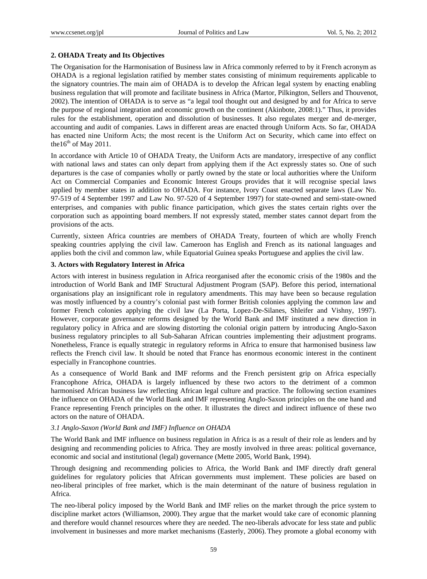## **2. OHADA Treaty and Its Objectives**

The Organisation for the Harmonisation of Business law in Africa commonly referred to by it French acronym as OHADA is a regional legislation ratified by member states consisting of minimum requirements applicable to the signatory countries. The main aim of OHADA is to develop the African legal system by enacting enabling business regulation that will promote and facilitate business in Africa (Martor, Pilkington, Sellers and Thouvenot, 2002). The intention of OHADA is to serve as "a legal tool thought out and designed by and for Africa to serve the purpose of regional integration and economic growth on the continent (Akinbote, 2008:1)." Thus, it provides rules for the establishment, operation and dissolution of businesses. It also regulates merger and de-merger, accounting and audit of companies. Laws in different areas are enacted through Uniform Acts. So far, OHADA has enacted nine Uniform Acts; the most recent is the Uniform Act on Security, which came into effect on the16<sup>th</sup> of May 2011.

In accordance with Article 10 of OHADA Treaty, the Uniform Acts are mandatory, irrespective of any conflict with national laws and states can only depart from applying them if the Act expressly states so. One of such departures is the case of companies wholly or partly owned by the state or local authorities where the Uniform Act on Commercial Companies and Economic Interest Groups provides that it will recognise special laws applied by member states in addition to OHADA. For instance, Ivory Coast enacted separate laws (Law No. 97-519 of 4 September 1997 and Law No. 97-520 of 4 September 1997) for state-owned and semi-state-owned enterprises, and companies with public finance participation, which gives the states certain rights over the corporation such as appointing board members. If not expressly stated, member states cannot depart from the provisions of the acts.

Currently, sixteen Africa countries are members of OHADA Treaty, fourteen of which are wholly French speaking countries applying the civil law. Cameroon has English and French as its national languages and applies both the civil and common law, while Equatorial Guinea speaks Portuguese and applies the civil law.

# **3. Actors with Regulatory Interest in Africa**

Actors with interest in business regulation in Africa reorganised after the economic crisis of the 1980s and the introduction of World Bank and IMF Structural Adjustment Program (SAP). Before this period, international organisations play an insignificant role in regulatory amendments. This may have been so because regulation was mostly influenced by a country's colonial past with former British colonies applying the common law and former French colonies applying the civil law (La Porta, Lopez-De-Silanes, Shleifer and Vishny, 1997). However, corporate governance reforms designed by the World Bank and IMF instituted a new direction in regulatory policy in Africa and are slowing distorting the colonial origin pattern by introducing Anglo-Saxon business regulatory principles to all Sub-Saharan African countries implementing their adjustment programs. Nonetheless, France is equally strategic in regulatory reforms in Africa to ensure that harmonised business law reflects the French civil law. It should be noted that France has enormous economic interest in the continent especially in Francophone countries.

As a consequence of World Bank and IMF reforms and the French persistent grip on Africa especially Francophone Africa, OHADA is largely influenced by these two actors to the detriment of a common harmonised African business law reflecting African legal culture and practice. The following section examines the influence on OHADA of the World Bank and IMF representing Anglo-Saxon principles on the one hand and France representing French principles on the other. It illustrates the direct and indirect influence of these two actors on the nature of OHADA.

#### *3.1 Anglo-Saxon (World Bank and IMF) Influence on OHADA*

The World Bank and IMF influence on business regulation in Africa is as a result of their role as lenders and by designing and recommending policies to Africa. They are mostly involved in three areas: political governance, economic and social and institutional (legal) governance (Mette 2005, World Bank, 1994).

Through designing and recommending policies to Africa, the World Bank and IMF directly draft general guidelines for regulatory policies that African governments must implement. These policies are based on neo-liberal principles of free market, which is the main determinant of the nature of business regulation in Africa.

The neo-liberal policy imposed by the World Bank and IMF relies on the market through the price system to discipline market actors (Williamson, 2000). They argue that the market would take care of economic planning and therefore would channel resources where they are needed. The neo-liberals advocate for less state and public involvement in businesses and more market mechanisms (Easterly, 2006). They promote a global economy with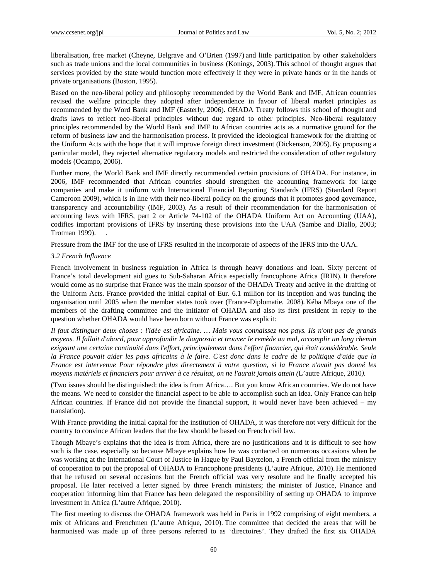liberalisation, free market (Cheyne, Belgrave and O'Brien (1997) and little participation by other stakeholders such as trade unions and the local communities in business (Konings, 2003). This school of thought argues that services provided by the state would function more effectively if they were in private hands or in the hands of private organisations (Boston, 1995).

Based on the neo-liberal policy and philosophy recommended by the World Bank and IMF, African countries revised the welfare principle they adopted after independence in favour of liberal market principles as recommended by the Word Bank and IMF (Easterly, 2006). OHADA Treaty follows this school of thought and drafts laws to reflect neo-liberal principles without due regard to other principles. Neo-liberal regulatory principles recommended by the World Bank and IMF to African countries acts as a normative ground for the reform of business law and the harmonisation process. It provided the ideological framework for the drafting of the Uniform Acts with the hope that it will improve foreign direct investment (Dickenson, 2005). By proposing a particular model, they rejected alternative regulatory models and restricted the consideration of other regulatory models (Ocampo, 2006).

Further more, the World Bank and IMF directly recommended certain provisions of OHADA. For instance, in 2006, IMF recommended that African countries should strengthen the accounting framework for large companies and make it uniform with International Financial Reporting Standards (IFRS) (Standard Report Cameroon 2009), which is in line with their neo-liberal policy on the grounds that it promotes good governance, transparency and accountability (IMF, 2003). As a result of their recommendation for the harmonisation of accounting laws with IFRS, part 2 or Article 74-102 of the OHADA Uniform Act on Accounting (UAA), codifies important provisions of IFRS by inserting these provisions into the UAA (Sambe and Diallo, 2003; Trotman 1999). .

Pressure from the IMF for the use of IFRS resulted in the incorporate of aspects of the IFRS into the UAA.

### *3.2 French Influence*

French involvement in business regulation in Africa is through heavy donations and loan. Sixty percent of France's total development aid goes to Sub-Saharan Africa especially francophone Africa (IRIN). It therefore would come as no surprise that France was the main sponsor of the OHADA Treaty and active in the drafting of the Uniform Acts. France provided the initial capital of Eur. 6.1 million for its inception and was funding the organisation until 2005 when the member states took over (France-Diplomatie, 2008). Kéba Mbaya one of the members of the drafting committee and the initiator of OHADA and also its first president in reply to the question whether OHADA would have been born without France was explicit:

*Il faut distinguer deux choses : l'idée est africaine. … Mais vous connaissez nos pays. Ils n'ont pas de grands moyens. Il fallait d'abord, pour approfondir le diagnostic et trouver le remède au mal, accomplir un long chemin exigeant une certaine continuité dans l'effort, principalement dans l'effort financier, qui était considérable. Seule la France pouvait aider les pays africains à le faire. C'est donc dans le cadre de la politique d'aide que la France est intervenue Pour répondre plus directement à votre question, si la France n'avait pas donné les moyens matériels et financiers pour arriver à ce résultat, on ne l'aurait jamais attein (*L'autre Afrique, 2010*).* 

(Two issues should be distinguished: the idea is from Africa…. But you know African countries. We do not have the means. We need to consider the financial aspect to be able to accomplish such an idea. Only France can help African countries. If France did not provide the financial support, it would never have been achieved – my translation).

With France providing the initial capital for the institution of OHADA, it was therefore not very difficult for the country to convince African leaders that the law should be based on French civil law.

Though Mbaye's explains that the idea is from Africa, there are no justifications and it is difficult to see how such is the case, especially so because Mbaye explains how he was contacted on numerous occasions when he was working at the International Court of Justice in Hague by Paul Bayzelon, a French official from the ministry of cooperation to put the proposal of OHADA to Francophone presidents (L'autre Afrique, 2010). He mentioned that he refused on several occasions but the French official was very resolute and he finally accepted his proposal. He later received a letter signed by three French ministers; the minister of Justice, Finance and cooperation informing him that France has been delegated the responsibility of setting up OHADA to improve investment in Africa (L'autre Afrique, 2010).

The first meeting to discuss the OHADA framework was held in Paris in 1992 comprising of eight members, a mix of Africans and Frenchmen (L'autre Afrique, 2010). The committee that decided the areas that will be harmonised was made up of three persons referred to as 'directoires'. They drafted the first six OHADA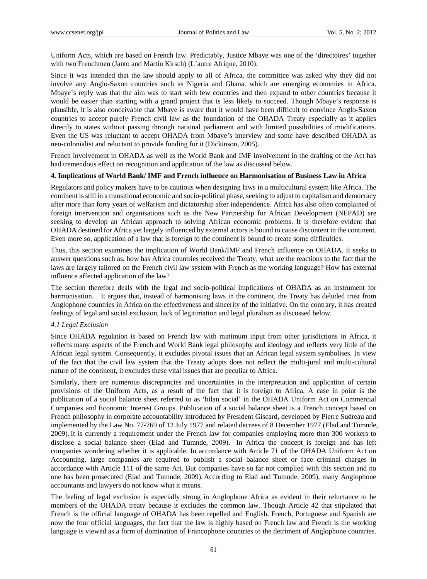Uniform Acts, which are based on French law. Predictably, Justice Mbaye was one of the 'directoires' together with two Frenchmen (Janto and Martin Kirsch) (L'autre Afrique, 2010).

Since it was intended that the law should apply to all of Africa, the committee was asked why they did not involve any Anglo-Saxon countries such as Nigeria and Ghana, which are emerging economies in Africa. Mbaye's reply was that the aim was to start with few countries and then expand to other countries because it would be easier than starting with a grand project that is less likely to succeed. Though Mbaye's response is plausible, it is also conceivable that Mbaye is aware that it would have been difficult to convince Anglo-Saxon countries to accept purely French civil law as the foundation of the OHADA Treaty especially as it applies directly to states without passing through national parliament and with limited possibilities of modifications. Even the US was reluctant to accept OHADA from Mbaye's interview and some have described OHADA as neo-colonialist and reluctant to provide funding for it (Dickinson, 2005).

French involvement in OHADA as well as the World Bank and IMF involvement in the drafting of the Act has had tremendous effect on recognition and application of the law as discussed below.

### **4. Implications of World Bank/ IMF and French influence on Harmonisation of Business Law in Africa**

Regulators and policy makers have to be cautious when designing laws in a multicultural system like Africa. The continent is still in a transitional economic and socio-political phase, seeking to adjust to capitalism and democracy after more than forty years of welfarism and dictatorship after independence. Africa has also often complained of foreign intervention and organisations such as the New Partnership for African Development (NEPAD) are seeking to develop an African approach to solving African economic problems. It is therefore evident that OHADA destined for Africa yet largely influenced by external actors is bound to cause discontent in the continent. Even more so, application of a law that is foreign to the continent is bound to create some difficulties.

Thus, this section examines the implication of World Bank/IMF and French influence on OHADA. It seeks to answer questions such as, how has Africa countries received the Treaty, what are the reactions to the fact that the laws are largely tailored on the French civil law system with French as the working language? How has external influence affected application of the law?

The section therefore deals with the legal and socio-political implications of OHADA as an instrument for harmonisation. It argues that, instead of harmonising laws in the continent, the Treaty has deluded trust from Anglophone countries in Africa on the effectiveness and sincerity of the initiative. On the contrary, it has created feelings of legal and social exclusion, lack of legitimation and legal pluralism as discussed below.

#### *4.1 Legal Exclusion*

Since OHADA regulation is based on French law with minimum input from other jurisdictions in Africa, it reflects many aspects of the French and World Bank legal philosophy and ideology and reflects very little of the African legal system. Consequently, it excludes pivotal issues that an African legal system symbolises. In view of the fact that the civil law system that the Treaty adopts does not reflect the multi-jural and multi-cultural nature of the continent, it excludes these vital issues that are peculiar to Africa.

Similarly, there are numerous discrepancies and uncertainties in the interpretation and application of certain provisions of the Uniform Acts, as a result of the fact that it is foreign to Africa. A case in point is the publication of a social balance sheet referred to as 'bilan social' in the OHADA Uniform Act on Commercial Companies and Economic Interest Groups. Publication of a social balance sheet is a French concept based on French philosophy in corporate accountability introduced by President Giscard, developed by Pierre Sudreau and implemented by the Law No. 77-769 of 12 July 1977 and related decrees of 8 December 1977 (Elad and Tumnde, 2009). It is currently a requirement under the French law for companies employing more than 300 workers to disclose a social balance sheet (Elad and Tumnde, 2009). In Africa the concept is foreign and has left companies wondering whether it is applicable. In accordance with Article 71 of the OHADA Uniform Act on Accounting, large companies are required to publish a social balance sheet or face criminal charges in accordance with Article 111 of the same Art. But companies have so far not complied with this section and no one has been prosecuted (Elad and Tumnde, 2009). According to Elad and Tumnde, 2009), many Anglophone accountants and lawyers do not know what it means.

The feeling of legal exclusion is especially strong in Anglophone Africa as evident in their reluctance to be members of the OHADA treaty because it excludes the common law. Though Article 42 that stipulated that French is the official language of OHADA has been repelled and English, French, Portuguese and Spanish are now the four official languages, the fact that the law is highly based on French law and French is the working language is viewed as a form of domination of Francophone countries to the detriment of Anglophone countries.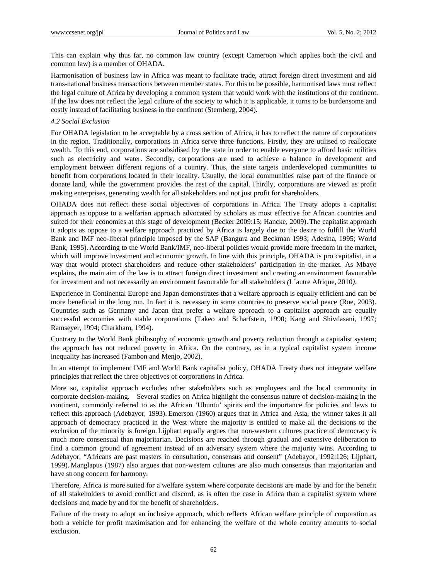This can explain why thus far, no common law country (except Cameroon which applies both the civil and common law) is a member of OHADA.

Harmonisation of business law in Africa was meant to facilitate trade, attract foreign direct investment and aid trans-national business transactions between member states. For this to be possible, harmonised laws must reflect the legal culture of Africa by developing a common system that would work with the institutions of the continent. If the law does not reflect the legal culture of the society to which it is applicable, it turns to be burdensome and costly instead of facilitating business in the continent (Sternberg, 2004).

#### *4.2 Social Exclusion*

For OHADA legislation to be acceptable by a cross section of Africa, it has to reflect the nature of corporations in the region. Traditionally, corporations in Africa serve three functions. Firstly, they are utilised to reallocate wealth. To this end, corporations are subsidised by the state in order to enable everyone to afford basic utilities such as electricity and water. Secondly, corporations are used to achieve a balance in development and employment between different regions of a country. Thus, the state targets underdeveloped communities to benefit from corporations located in their locality. Usually, the local communities raise part of the finance or donate land, while the government provides the rest of the capital. Thirdly, corporations are viewed as profit making enterprises, generating wealth for all stakeholders and not just profit for shareholders.

OHADA does not reflect these social objectives of corporations in Africa. The Treaty adopts a capitalist approach as oppose to a welfarian approach advocated by scholars as most effective for African countries and suited for their economies at this stage of development (Becker 2009:15; Hancke, 2009). The capitalist approach it adopts as oppose to a welfare approach practiced by Africa is largely due to the desire to fulfill the World Bank and IMF neo-liberal principle imposed by the SAP (Bangura and Beckman 1993; Adesina, 1995; World Bank, 1995). According to the World Bank/IMF, neo-liberal policies would provide more freedom in the market, which will improve investment and economic growth. In line with this principle, OHADA is pro capitalist, in a way that would protect shareholders and reduce other stakeholders' participation in the market. As Mbaye explains, the main aim of the law is to attract foreign direct investment and creating an environment favourable for investment and not necessarily an environment favourable for all stakeholders *(*L'autre Afrique, 2010*)*.

Experience in Continental Europe and Japan demonstrates that a welfare approach is equally efficient and can be more beneficial in the long run. In fact it is necessary in some countries to preserve social peace (Roe, 2003). Countries such as Germany and Japan that prefer a welfare approach to a capitalist approach are equally successful economies with stable corporations (Takeo and Scharfstein, 1990; Kang and Shivdasani, 1997; Ramseyer, 1994; Charkham, 1994).

Contrary to the World Bank philosophy of economic growth and poverty reduction through a capitalist system; the approach has not reduced poverty in Africa. On the contrary, as in a typical capitalist system income inequality has increased (Fambon and Menjo, 2002).

In an attempt to implement IMF and World Bank capitalist policy, OHADA Treaty does not integrate welfare principles that reflect the three objectives of corporations in Africa.

More so, capitalist approach excludes other stakeholders such as employees and the local community in corporate decision-making. Several studies on Africa highlight the consensus nature of decision-making in the continent, commonly referred to as the African 'Ubuntu' spirits and the importance for policies and laws to reflect this approach (Adebayor, 1993). Emerson (1960) argues that in Africa and Asia, the winner takes it all approach of democracy practiced in the West where the majority is entitled to make all the decisions to the exclusion of the minority is foreign. Lijphart equally argues that non-western cultures practice of democracy is much more consensual than majoritarian. Decisions are reached through gradual and extensive deliberation to find a common ground of agreement instead of an adversary system where the majority wins. According to Adebayor, "Africans are past masters in consultation, consensus and consent" (Adebayor, 1992:126; Lijphart, 1999). Manglapus (1987) also argues that non-western cultures are also much consensus than majoritarian and have strong concern for harmony.

Therefore, Africa is more suited for a welfare system where corporate decisions are made by and for the benefit of all stakeholders to avoid conflict and discord, as is often the case in Africa than a capitalist system where decisions and made by and for the benefit of shareholders.

Failure of the treaty to adopt an inclusive approach, which reflects African welfare principle of corporation as both a vehicle for profit maximisation and for enhancing the welfare of the whole country amounts to social exclusion.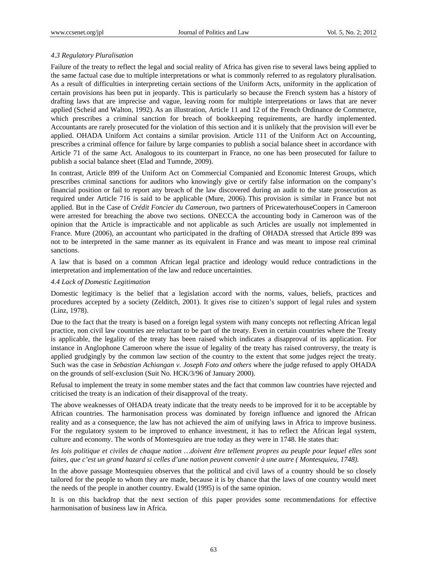## *4.3 Regulatory Pluralisation*

Failure of the treaty to reflect the legal and social reality of Africa has given rise to several laws being applied to the same factual case due to multiple interpretations or what is commonly referred to as regulatory pluralisation. As a result of difficulties in interpreting certain sections of the Uniform Acts, uniformity in the application of certain provisions has been put in jeopardy. This is particularly so because the French system has a history of drafting laws that are imprecise and vague, leaving room for multiple interpretations or laws that are never applied (Scheid and Walton, 1992). As an illustration, Article 11 and 12 of the French Ordinance de Commerce, which prescribes a criminal sanction for breach of bookkeeping requirements, are hardly implemented. Accountants are rarely prosecuted for the violation of this section and it is unlikely that the provision will ever be applied. OHADA Uniform Act contains a similar provision. Article 111 of the Uniform Act on Accounting, prescribes a criminal offence for failure by large companies to publish a social balance sheet in accordance with Article 71 of the same Act. Analogous to its counterpart in France, no one has been prosecuted for failure to publish a social balance sheet (Elad and Tumnde, 2009).

In contrast, Article 899 of the Uniform Act on Commercial Companied and Economic Interest Groups, which prescribes criminal sanctions for auditors who knowingly give or certify false information on the company's financial position or fail to report any breach of the law discovered during an audit to the state prosecution as required under Article 716 is said to be applicable (Mure, 2006). This provision is similar in France but not applied. But in the Case of *Crédit Foncier du Cameroun*, two partners of PricewaterhouseCoopers in Cameroon were arrested for breaching the above two sections. ONECCA the accounting body in Cameroon was of the opinion that the Article is impracticable and not applicable as such Articles are usually not implemented in France. Mure (2006), an accountant who participated in the drafting of OHADA stressed that Article 899 was not to be interpreted in the same manner as its equivalent in France and was meant to impose real criminal sanctions.

A law that is based on a common African legal practice and ideology would reduce contradictions in the interpretation and implementation of the law and reduce uncertainties.

## *4.4 Lack of Domestic Legitimation*

Domestic legitimacy is the belief that a legislation accord with the norms, values, beliefs, practices and procedures accepted by a society (Zelditch, 2001). It gives rise to citizen's support of legal rules and system (Linz, 1978).

Due to the fact that the treaty is based on a foreign legal system with many concepts not reflecting African legal practice, non civil law countries are reluctant to be part of the treaty. Even in certain countries where the Treaty is applicable, the legality of the treaty has been raised which indicates a disapproval of its application. For instance in Anglophone Cameroon where the issue of legality of the treaty has raised controversy, the treaty is applied grudgingly by the common law section of the country to the extent that some judges reject the treaty. Such was the case in *Sebastian Achiangan v. Joseph Foto and others* where the judge refused to apply OHADA on the grounds of self-exclusion (Suit No. HCK/3/96 of January 2000).

Refusal to implement the treaty in some member states and the fact that common law countries have rejected and criticised the treaty is an indication of their disapproval of the treaty.

The above weaknesses of OHADA treaty indicate that the treaty needs to be improved for it to be acceptable by African countries. The harmonisation process was dominated by foreign influence and ignored the African reality and as a consequence, the law has not achieved the aim of unifying laws in Africa to improve business. For the regulatory system to be improved to enhance investment, it has to reflect the African legal system, culture and economy. The words of Montesquieu are true today as they were in 1748. He states that:

## *les lois politique et civiles de chaque nation …doivent être tellement propres au peuple pour lequel elles sont faites, que c'est un grand hazard si celles d'une nation peuvent convenir à une autre ( Montesquieu, 1748).*

In the above passage Montesquieu observes that the political and civil laws of a country should be so closely tailored for the people to whom they are made, because it is by chance that the laws of one country would meet the needs of the people in another country. Ewald (1995) is of the same opinion.

It is on this backdrop that the next section of this paper provides some recommendations for effective harmonisation of business law in Africa.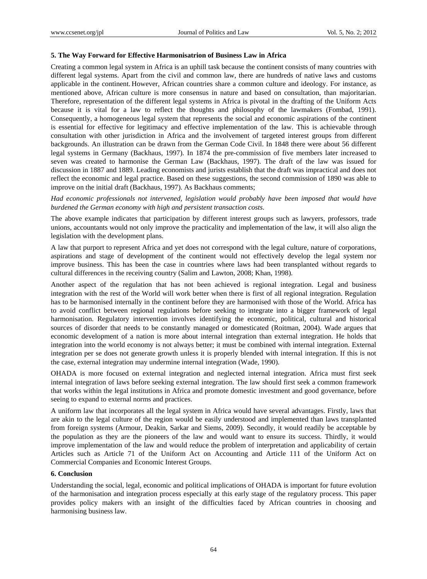## **5. The Way Forward for Effective Harmonisatrion of Business Law in Africa**

Creating a common legal system in Africa is an uphill task because the continent consists of many countries with different legal systems. Apart from the civil and common law, there are hundreds of native laws and customs applicable in the continent. However, African countries share a common culture and ideology. For instance, as mentioned above, African culture is more consensus in nature and based on consultation, than majoritarian. Therefore, representation of the different legal systems in Africa is pivotal in the drafting of the Uniform Acts because it is vital for a law to reflect the thoughts and philosophy of the lawmakers (Fombad, 1991). Consequently, a homogeneous legal system that represents the social and economic aspirations of the continent is essential for effective for legitimacy and effective implementation of the law. This is achievable through consultation with other jurisdiction in Africa and the involvement of targeted interest groups from different backgrounds. An illustration can be drawn from the German Code Civil. In 1848 there were about 56 different legal systems in Germany (Backhaus, 1997). In 1874 the pre-commission of five members later increased to seven was created to harmonise the German Law (Backhaus, 1997). The draft of the law was issued for discussion in 1887 and 1889. Leading economists and jurists establish that the draft was impractical and does not reflect the economic and legal practice. Based on these suggestions, the second commission of 1890 was able to improve on the initial draft (Backhaus, 1997). As Backhaus comments;

*Had economic professionals not intervened, legislation would probably have been imposed that would have burdened the German economy with high and persistent transaction costs*.

The above example indicates that participation by different interest groups such as lawyers, professors, trade unions, accountants would not only improve the practicality and implementation of the law, it will also align the legislation with the development plans.

A law that purport to represent Africa and yet does not correspond with the legal culture, nature of corporations, aspirations and stage of development of the continent would not effectively develop the legal system nor improve business. This has been the case in countries where laws had been transplanted without regards to cultural differences in the receiving country (Salim and Lawton, 2008; Khan, 1998).

Another aspect of the regulation that has not been achieved is regional integration. Legal and business integration with the rest of the World will work better when there is first of all regional integration. Regulation has to be harmonised internally in the continent before they are harmonised with those of the World. Africa has to avoid conflict between regional regulations before seeking to integrate into a bigger framework of legal harmonisation. Regulatory intervention involves identifying the economic, political, cultural and historical sources of disorder that needs to be constantly managed or domesticated (Roitman, 2004). Wade argues that economic development of a nation is more about internal integration than external integration. He holds that integration into the world economy is not always better; it must be combined with internal integration. External integration per se does not generate growth unless it is properly blended with internal integration. If this is not the case, external integration may undermine internal integration (Wade, 1990).

OHADA is more focused on external integration and neglected internal integration. Africa must first seek internal integration of laws before seeking external integration. The law should first seek a common framework that works within the legal institutions in Africa and promote domestic investment and good governance, before seeing to expand to external norms and practices.

A uniform law that incorporates all the legal system in Africa would have several advantages. Firstly, laws that are akin to the legal culture of the region would be easily understood and implemented than laws transplanted from foreign systems (Armour, Deakin, Sarkar and Siems, 2009). Secondly, it would readily be acceptable by the population as they are the pioneers of the law and would want to ensure its success. Thirdly, it would improve implementation of the law and would reduce the problem of interpretation and applicability of certain Articles such as Article 71 of the Uniform Act on Accounting and Article 111 of the Uniform Act on Commercial Companies and Economic Interest Groups.

## **6. Conclusion**

Understanding the social, legal, economic and political implications of OHADA is important for future evolution of the harmonisation and integration process especially at this early stage of the regulatory process. This paper provides policy makers with an insight of the difficulties faced by African countries in choosing and harmonising business law.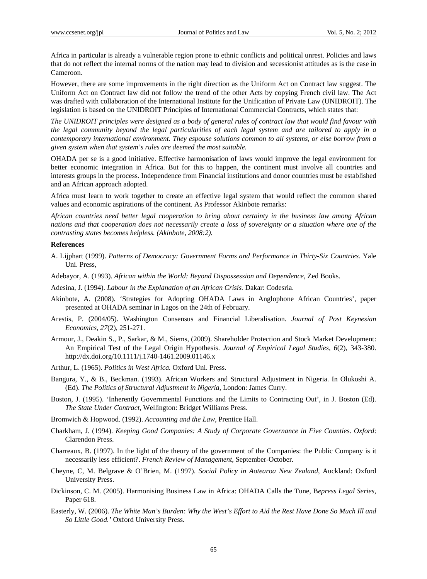Africa in particular is already a vulnerable region prone to ethnic conflicts and political unrest. Policies and laws that do not reflect the internal norms of the nation may lead to division and secessionist attitudes as is the case in Cameroon.

However, there are some improvements in the right direction as the Uniform Act on Contract law suggest. The Uniform Act on Contract law did not follow the trend of the other Acts by copying French civil law. The Act was drafted with collaboration of the International Institute for the Unification of Private Law (UNIDROIT). The legislation is based on the UNIDROIT Principles of International Commercial Contracts, which states that:

*The UNIDROIT principles were designed as a body of general rules of contract law that would find favour with the legal community beyond the legal particularities of each legal system and are tailored to apply in a contemporary international environment. They espouse solutions common to all systems, or else borrow from a given system when that system's rules are deemed the most suitable.* 

OHADA per se is a good initiative. Effective harmonisation of laws would improve the legal environment for better economic integration in Africa. But for this to happen, the continent must involve all countries and interests groups in the process. Independence from Financial institutions and donor countries must be established and an African approach adopted.

Africa must learn to work together to create an effective legal system that would reflect the common shared values and economic aspirations of the continent. As Professor Akinbote remarks:

*African countries need better legal cooperation to bring about certainty in the business law among African nations and that cooperation does not necessarily create a loss of sovereignty or a situation where one of the contrasting states becomes helpless. (Akinbote, 2008:2).* 

### **References**

- A. Lijphart (1999). *Patterns of Democracy: Government Forms and Performance in Thirty-Six Countries.* Yale Uni. Press,
- Adebayor, A. (1993). *African within the World: Beyond Dispossession and Dependence,* Zed Books.

Adesina, J. (1994). *Labour in the Explanation of an African Crisis.* Dakar: Codesria.

- Akinbote, A. (2008). 'Strategies for Adopting OHADA Laws in Anglophone African Countries', paper presented at OHADA seminar in Lagos on the 24th of February.
- Arestis, P. (2004/05). Washington Consensus and Financial Liberalisation. *Journal of Post Keynesian Economics, 27*(2), 251-271.
- Armour, J., Deakin S., P., Sarkar, & M., Siems, (2009). Shareholder Protection and Stock Market Development: An Empirical Test of the Legal Origin Hypothesis. *Journal of Empirical Legal Studies, 6*(2), 343-380. http://dx.doi.org/10.1111/j.1740-1461.2009.01146.x
- Arthur, L. (1965). *Politics in West Africa.* Oxford Uni. Press.
- Bangura, Y., & B., Beckman. (1993). African Workers and Structural Adjustment in Nigeria. In Olukoshi A. (Ed). *The Politics of Structural Adjustment in Nigeria,* London: James Curry.
- Boston, J. (1995). 'Inherently Governmental Functions and the Limits to Contracting Out', in J. Boston (Ed). *The State Under Contract*, Wellington: Bridget Williams Press.
- Bromwich & Hopwood. (1992). *Accounting and the Law,* Prentice Hall.
- Charkham, J. (1994). *Keeping Good Companies: A Study of Corporate Governance in Five Counties. Oxford*: Clarendon Press.
- Charreaux, B. (1997). In the light of the theory of the government of the Companies: the Public Company is it necessarily less efficient?. *French Review of Management*, September-October.
- Cheyne, C, M. Belgrave & O'Brien, M. (1997). *Social Policy in Aotearoa New Zealand*, Auckland: Oxford University Press.
- Dickinson, C. M. (2005). Harmonising Business Law in Africa: OHADA Calls the Tune, B*epress Legal Series*, Paper 618.
- Easterly, W. (2006). *The White Man's Burden: Why the West's Effort to Aid the Rest Have Done So Much Ill and So Little Good.'* Oxford University Press.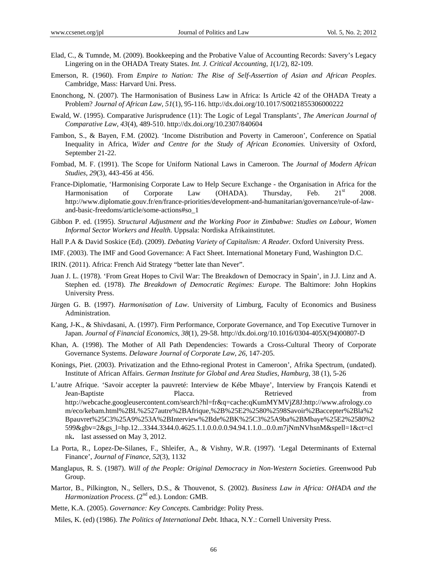- Elad, C., & Tumnde, M. (2009). Bookkeeping and the Probative Value of Accounting Records: Savery's Legacy Lingering on in the OHADA Treaty States. *Int. J. Critical Accounting*, *1*(1/2), 82-109.
- Emerson, R. (1960). From *Empire to Nation: The Rise of Self-Assertion of Asian and African Peoples*. Cambridge, Mass: Harvard Uni. Press.
- Enonchong, N. (2007). The Harmonisation of Business Law in Africa: Is Article 42 of the OHADA Treaty a Problem? *Journal of African Law, 51*(1), 95-116. http://dx.doi.org/10.1017/S0021855306000222
- Ewald, W. (1995). Comparative Jurisprudence (11): The Logic of Legal Transplants', *The American Journal of Comparative Law, 43*(4), 489-510. http://dx.doi.org/10.2307/840604
- Fambon, S., & Bayen, F.M. (2002). 'Income Distribution and Poverty in Cameroon', Conference on Spatial Inequality in Africa, *Wider and Centre for the Study of African Economies.* University of Oxford, September 21-22.
- Fombad, M. F. (1991). The Scope for Uniform National Laws in Cameroon. The *Journal of Modern African Studies*, *29*(3), 443-456 at 456.
- France-Diplomatie, 'Harmonising Corporate Law to Help Secure Exchange the Organisation in Africa for the Harmonisation of Corporate Law (OHADA). Thursday, Feb. 21<sup>st</sup> 2008. http://www.diplomatie.gouv.fr/en/france-priorities/development-and-humanitarian/governance/rule-of-lawand-basic-freedoms/article/some-actions#so\_1
- Gibbon P. ed. (1995). *Structural Adjustment and the Working Poor in Zimbabwe: Studies on Labour, Women Informal Sector Workers and Health.* Uppsala: Nordiska Afrikainstitutet.
- Hall P.A & David Soskice (Ed). (2009). *Debating Variety of Capitalism: A Reader.* Oxford University Press.
- IMF. (2003). The IMF and Good Governance: A Fact Sheet. International Monetary Fund, Washington D.C.
- IRIN. (2011). Africa: French Aid Strategy "better late than Never".
- Juan J. L. (1978). 'From Great Hopes to Civil War: The Breakdown of Democracy in Spain', in J.J. Linz and A. Stephen ed. (1978). *The Breakdown of Democratic Regimes: Europe.* The Baltimore: John Hopkins University Press.
- Jürgen G. B. (1997). *Harmonisation of Law*. University of Limburg, Faculty of Economics and Business Administration.
- Kang, J-K., & Shivdasani, A. (1997). Firm Performance, Corporate Governance, and Top Executive Turnover in Japan. *Journal of Financial Economics*, *38*(1), 29-58. http://dx.doi.org/10.1016/0304-405X(94)00807-D
- Khan, A. (1998). The Mother of All Path Dependencies: Towards a Cross-Cultural Theory of Corporate Governance Systems. *Delaware Journal of Corporate Law*, *26*, 147-205.
- Konings, Piet. (2003). Privatization and the Ethno-regional Protest in Cameroon', Afrika Spectrum, (undated). Institute of African Affairs. *German Institute for Global and Area Studies, Hamburg,* 38 (1), 5-26
- L'autre Afrique. 'Savoir accepter la pauvreté: Interview de Kébe Mbaye', Interview by François Katendi et Jean-Baptiste Placca. Retrieved from http://webcache.googleusercontent.com/search?hl=fr&q=cache:qKumMYMVjZ8J:http://www.afrology.co m/eco/kebam.html%2BL%2527autre%2BAfrique,%2B%25E2%2580%2598Savoir%2Baccepter%2Bla%2 Bpauvret%25C3%25A9%253A%2BInterview%2Bde%2BK%25C3%25A9ba%2BMbaye%25E2%2580%2 599&gbv=2&gs\_l=hp.12...3344.3344.0.4625.1.1.0.0.0.0.94.94.1.1.0...0.0.m7jNmNVhsnM&spell=1&ct=cl nk**.** last assessed on May 3, 2012.
- La Porta, R., Lopez-De-Silanes, F., Shleifer, A., & Vishny, W.R. (1997). 'Legal Determinants of External Finance', *Journal of Finance*, *52*(3), 1132
- Manglapus, R. S. (1987). *Will of the People: Original Democracy in Non-Western Societies.* Greenwood Pub Group.
- Martor, B., Pilkington, N., Sellers, D.S., & Thouvenot, S. (2002). *Business Law in Africa: OHADA and the Harmonization Process.* (2<sup>nd</sup> ed.). London: GMB.
- Mette, K.A. (2005). *Governance: Key Concepts.* Cambridge: Polity Press.
- Miles, K. (ed) (1986). *The Politics of International Debt.* Ithaca, N.Y.: Cornell University Press.